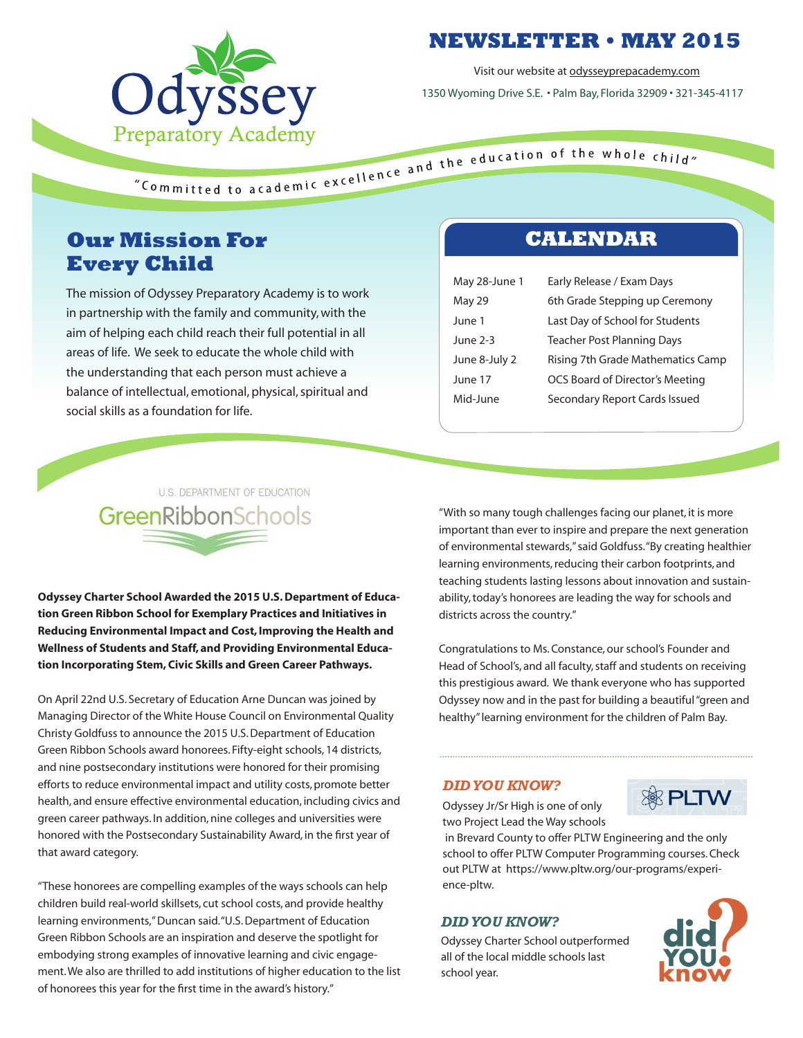

## **NEWSLETTER • MAY 2015**

Visit our website at odysseyprepacademy.com

1350 Wyoming Drive S.E. • Palm Bay, Florida 32909 • 321-345-4117

# **Our Mission For Every Child**

The mission of Odyssey Preparatory Academy is to work in partnership with the family and community, with the aim of helping each child reach their full potential in all areas of life. We seek to educate the whole child with the understanding that each person must achieve a balance of intellectual, emotional, physical, spiritual and social skills as a foundation for life.

## **CALENDAR**

| May 28-June 1 | Early Release / Exam Days         |
|---------------|-----------------------------------|
| May 29        | 6th Grade Stepping up Ceremony    |
| June 1        | Last Day of School for Students   |
| June 2-3      | <b>Teacher Post Planning Days</b> |
| June 8-July 2 | Rising 7th Grade Mathematics Camp |
| June 17       | OCS Board of Director's Meeting   |
| Mid-June      | Secondary Report Cards Issued     |
|               |                                   |

# U.S. DEPARTMENT OF EDUCATION GreenRibbonSchools

**Odyssey Charter School Awarded the 2015 U.S. Department of Education Green Ribbon School for Exemplary Practices and Initiatives in Reducing Environmental Impact and Cost, Improving the Health and Wellness of Students and Staff, and Providing Environmental Education Incorporating Stem, Civic Skills and Green Career Pathways.**

On April 22nd U.S. Secretary of Education Arne Duncan was joined by Managing Director of the White House Council on Environmental Quality Christy Goldfuss to announce the 2015 U.S. Department of Education Green Ribbon Schools award honorees. Fifty-eight schools, 14 districts, and nine postsecondary institutions were honored for their promising efforts to reduce environmental impact and utility costs, promote better health, and ensure effective environmental education, including civics and green career pathways. In addition, nine colleges and universities were honored with the Postsecondary Sustainability Award, in the first year of that award category.

"These honorees are compelling examples of the ways schools can help children build real-world skillsets, cut school costs, and provide healthy learning environments," Duncan said. "U.S. Department of Education Green Ribbon Schools are an inspiration and deserve the spotlight for embodying strong examples of innovative learning and civic engagement. We also are thrilled to add institutions of higher education to the list of honorees this year for the first time in the award's history."

"With so many tough challenges facing our planet, it is more important than ever to inspire and prepare the next generation of environmental stewards," said Goldfuss. "By creating healthier learning environments, reducing their carbon footprints, and teaching students lasting lessons about innovation and sustainability, today's honorees are leading the way for schools and districts across the country."

Congratulations to Ms. Constance, our school's Founder and Head of School's, and all faculty, staff and students on receiving this prestigious award. We thank everyone who has supported Odyssey now and in the past for building a beautiful "green and healthy" learning environment for the children of Palm Bay.

#### *DID YOU KNOW?*

Odyssey Jr/Sr High is one of only two Project Lead the Way schools



 in Brevard County to offer PLTW Engineering and the only school to offer PLTW Computer Programming courses. Check out PLTW at https://www.pltw.org/our-programs/experience-pltw.

#### *DID YOU KNOW?*

Odyssey Charter School outperformed all of the local middle schools last school year.

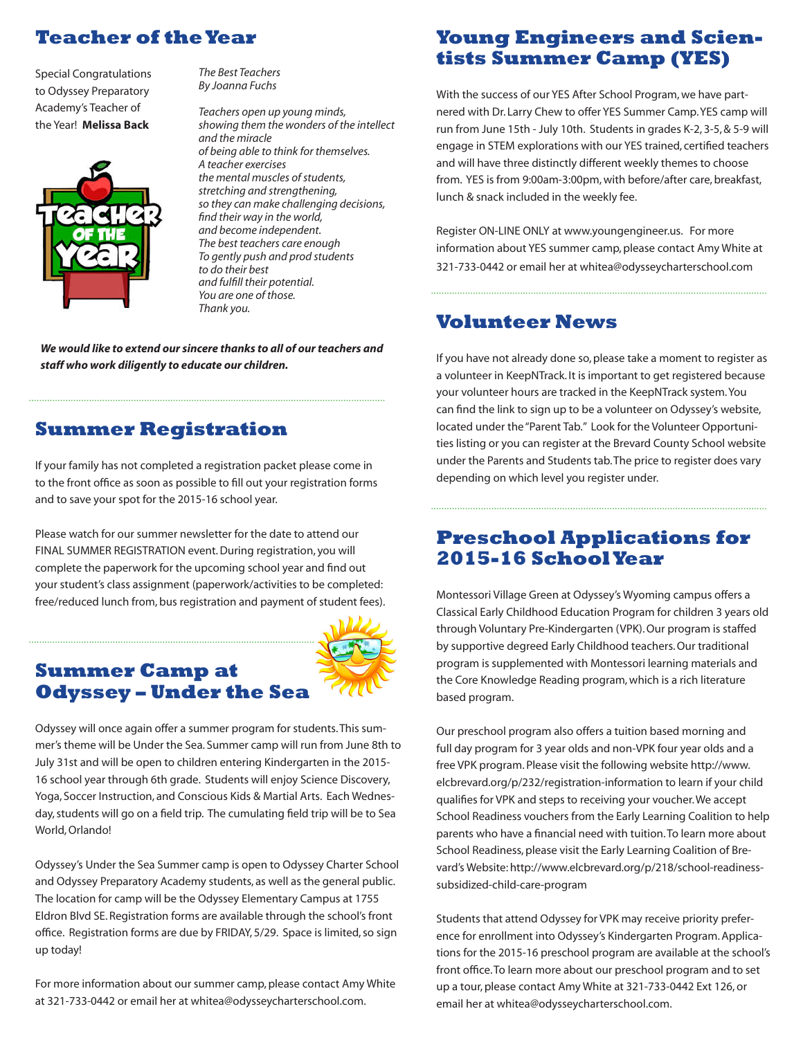# **Teacher of the Year**

Special Congratulations to Odyssey Preparatory Academy's Teacher of the Year! **Melissa Back**



*The Best Teachers By Joanna Fuchs*

*Teachers open up young minds, showing them the wonders of the intellect and the miracle of being able to think for themselves. A teacher exercises the mental muscles of students, stretching and strengthening, so they can make challenging decisions, find their way in the world, and become independent. The best teachers care enough To gently push and prod students to do their best and fulfill their potential. You are one of those. Thank you.*

*We would like to extend our sincere thanks to all of our teachers and staff who work diligently to educate our children.*

### **Summer Registration**

If your family has not completed a registration packet please come in to the front office as soon as possible to fill out your registration forms and to save your spot for the 2015-16 school year.

Please watch for our summer newsletter for the date to attend our FINAL SUMMER REGISTRATION event. During registration, you will complete the paperwork for the upcoming school year and find out your student's class assignment (paperwork/activities to be completed: free/reduced lunch from, bus registration and payment of student fees).

#### **Summer Camp at Odyssey – Under the Sea**



Odyssey will once again offer a summer program for students. This summer's theme will be Under the Sea. Summer camp will run from June 8th to July 31st and will be open to children entering Kindergarten in the 2015- 16 school year through 6th grade. Students will enjoy Science Discovery, Yoga, Soccer Instruction, and Conscious Kids & Martial Arts. Each Wednesday, students will go on a field trip. The cumulating field trip will be to Sea World, Orlando!

Odyssey's Under the Sea Summer camp is open to Odyssey Charter School and Odyssey Preparatory Academy students, as well as the general public. The location for camp will be the Odyssey Elementary Campus at 1755 Eldron Blvd SE. Registration forms are available through the school's front office. Registration forms are due by FRIDAY, 5/29. Space is limited, so sign up today!

For more information about our summer camp, please contact Amy White at 321-733-0442 or email her at whitea@odysseycharterschool.com.

## **Young Engineers and Scientists Summer Camp (YES)**

With the success of our YES After School Program, we have partnered with Dr. Larry Chew to offer YES Summer Camp. YES camp will run from June 15th - July 10th. Students in grades K-2, 3-5, & 5-9 will engage in STEM explorations with our YES trained, certified teachers and will have three distinctly different weekly themes to choose from. YES is from 9:00am-3:00pm, with before/after care, breakfast, lunch & snack included in the weekly fee.

Register ON-LINE ONLY at www.youngengineer.us. For more information about YES summer camp, please contact Amy White at 321-733-0442 or email her at whitea@odysseycharterschool.com

### **Volunteer News**

If you have not already done so, please take a moment to register as a volunteer in KeepNTrack. It is important to get registered because your volunteer hours are tracked in the KeepNTrack system. You can find the link to sign up to be a volunteer on Odyssey's website, located under the "Parent Tab." Look for the Volunteer Opportunities listing or you can register at the Brevard County School website under the Parents and Students tab. The price to register does vary depending on which level you register under.

# **Preschool Applications for 2015-16 School Year**

Montessori Village Green at Odyssey's Wyoming campus offers a Classical Early Childhood Education Program for children 3 years old through Voluntary Pre-Kindergarten (VPK). Our program is staffed by supportive degreed Early Childhood teachers. Our traditional program is supplemented with Montessori learning materials and the Core Knowledge Reading program, which is a rich literature based program.

Our preschool program also offers a tuition based morning and full day program for 3 year olds and non-VPK four year olds and a free VPK program. Please visit the following website http://www. elcbrevard.org/p/232/registration-information to learn if your child qualifies for VPK and steps to receiving your voucher. We accept School Readiness vouchers from the Early Learning Coalition to help parents who have a financial need with tuition. To learn more about School Readiness, please visit the Early Learning Coalition of Brevard's Website: http://www.elcbrevard.org/p/218/school-readinesssubsidized-child-care-program

Students that attend Odyssey for VPK may receive priority preference for enrollment into Odyssey's Kindergarten Program. Applications for the 2015-16 preschool program are available at the school's front office. To learn more about our preschool program and to set up a tour, please contact Amy White at 321-733-0442 Ext 126, or email her at whitea@odysseycharterschool.com.